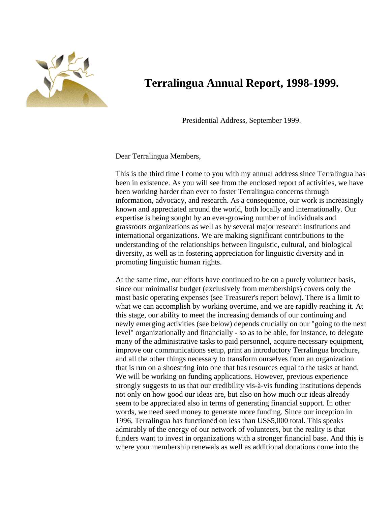

## **Terralingua Annual Report, 1998-1999.**

Presidential Address, September 1999.

Dear Terralingua Members,

This is the third time I come to you with my annual address since Terralingua has been in existence. As you will see from the enclosed report of activities, we have been working harder than ever to foster Terralingua concerns through information, advocacy, and research. As a consequence, our work is increasingly known and appreciated around the world, both locally and internationally. Our expertise is being sought by an ever-growing number of individuals and grassroots organizations as well as by several major research institutions and international organizations. We are making significant contributions to the understanding of the relationships between linguistic, cultural, and biological diversity, as well as in fostering appreciation for linguistic diversity and in promoting linguistic human rights.

At the same time, our efforts have continued to be on a purely volunteer basis, since our minimalist budget (exclusively from memberships) covers only the most basic operating expenses (see Treasurer's report below). There is a limit to what we can accomplish by working overtime, and we are rapidly reaching it. At this stage, our ability to meet the increasing demands of our continuing and newly emerging activities (see below) depends crucially on our "going to the next level" organizationally and financially - so as to be able, for instance, to delegate many of the administrative tasks to paid personnel, acquire necessary equipment, improve our communications setup, print an introductory Terralingua brochure, and all the other things necessary to transform ourselves from an organization that is run on a shoestring into one that has resources equal to the tasks at hand. We will be working on funding applications. However, previous experience strongly suggests to us that our credibility vis-à-vis funding institutions depends not only on how good our ideas are, but also on how much our ideas already seem to be appreciated also in terms of generating financial support. In other words, we need seed money to generate more funding. Since our inception in 1996, Terralingua has functioned on less than US\$5,000 total. This speaks admirably of the energy of our network of volunteers, but the reality is that funders want to invest in organizations with a stronger financial base. And this is where your membership renewals as well as additional donations come into the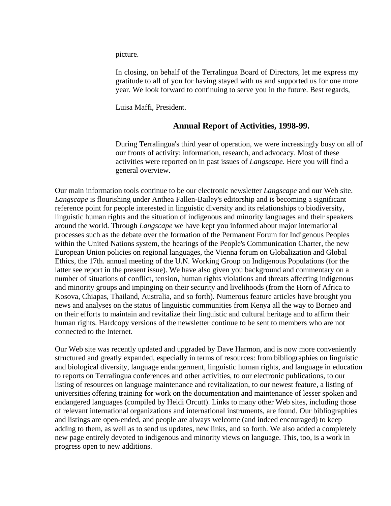picture.

In closing, on behalf of the Terralingua Board of Directors, let me express my gratitude to all of you for having stayed with us and supported us for one more year. We look forward to continuing to serve you in the future. Best regards,

Luisa Maffi, President.

## **Annual Report of Activities, 1998-99.**

During Terralingua's third year of operation, we were increasingly busy on all of our fronts of activity: information, research, and advocacy. Most of these activities were reported on in past issues of *Langscape*. Here you will find a general overview.

Our main information tools continue to be our electronic newsletter *Langscape* and our Web site. *Langscape* is flourishing under Anthea Fallen-Bailey's editorship and is becoming a significant reference point for people interested in linguistic diversity and its relationships to biodiversity, linguistic human rights and the situation of indigenous and minority languages and their speakers around the world. Through *Langscape* we have kept you informed about major international processes such as the debate over the formation of the Permanent Forum for Indigenous Peoples within the United Nations system, the hearings of the People's Communication Charter, the new European Union policies on regional languages, the Vienna forum on Globalization and Global Ethics, the 17th. annual meeting of the U.N. Working Group on Indigenous Populations (for the latter see report in the present issue). We have also given you background and commentary on a number of situations of conflict, tension, human rights violations and threats affecting indigenous and minority groups and impinging on their security and livelihoods (from the Horn of Africa to Kosova, Chiapas, Thailand, Australia, and so forth). Numerous feature articles have brought you news and analyses on the status of linguistic communities from Kenya all the way to Borneo and on their efforts to maintain and revitalize their linguistic and cultural heritage and to affirm their human rights. Hardcopy versions of the newsletter continue to be sent to members who are not connected to the Internet.

Our Web site was recently updated and upgraded by Dave Harmon, and is now more conveniently structured and greatly expanded, especially in terms of resources: from bibliographies on linguistic and biological diversity, language endangerment, linguistic human rights, and language in education to reports on Terralingua conferences and other activities, to our electronic publications, to our listing of resources on language maintenance and revitalization, to our newest feature, a listing of universities offering training for work on the documentation and maintenance of lesser spoken and endangered languages (compiled by Heidi Orcutt). Links to many other Web sites, including those of relevant international organizations and international instruments, are found. Our bibliographies and listings are open-ended, and people are always welcome (and indeed encouraged) to keep adding to them, as well as to send us updates, new links, and so forth. We also added a completely new page entirely devoted to indigenous and minority views on language. This, too, is a work in progress open to new additions.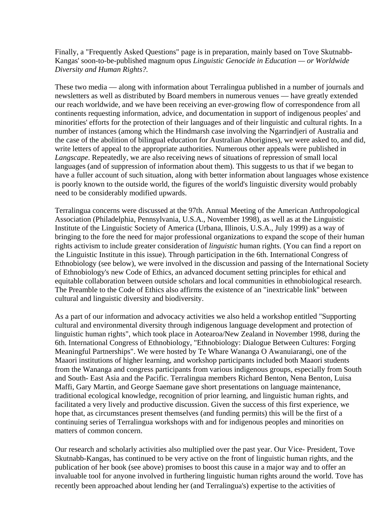Finally, a "Frequently Asked Questions" page is in preparation, mainly based on Tove Skutnabb-Kangas' soon-to-be-published magnum opus *Linguistic Genocide in Education — or Worldwide Diversity and Human Rights?.*

These two media — along with information about Terralingua published in a number of journals and newsletters as well as distributed by Board members in numerous venues — have greatly extended our reach worldwide, and we have been receiving an ever-growing flow of correspondence from all continents requesting information, advice, and documentation in support of indigenous peoples' and minorities' efforts for the protection of their languages and of their linguistic and cultural rights. In a number of instances (among which the Hindmarsh case involving the Ngarrindjeri of Australia and the case of the abolition of bilingual education for Australian Aborigines), we were asked to, and did, write letters of appeal to the appropriate authorities. Numerous other appeals were published in *Langscape*. Repeatedly, we are also receiving news of situations of repression of small local languages (and of suppression of information about them). This suggests to us that if we began to have a fuller account of such situation, along with better information about languages whose existence is poorly known to the outside world, the figures of the world's linguistic diversity would probably need to be considerably modified upwards.

Terralingua concerns were discussed at the 97th. Annual Meeting of the American Anthropological Association (Philadelphia, Pennsylvania, U.S.A., November 1998), as well as at the Linguistic Institute of the Linguistic Society of America (Urbana, Illinois, U.S.A., July 1999) as a way of bringing to the fore the need for major professional organizations to expand the scope of their human rights activism to include greater consideration of *linguistic* human rights. (You can find a report on the Linguistic Institute in this issue). Through participation in the 6th. International Congress of Ethnobiology (see below), we were involved in the discussion and passing of the International Society of Ethnobiology's new Code of Ethics, an advanced document setting principles for ethical and equitable collaboration between outside scholars and local communities in ethnobiological research. The Preamble to the Code of Ethics also affirms the existence of an "inextricable link" between cultural and linguistic diversity and biodiversity.

As a part of our information and advocacy activities we also held a workshop entitled "Supporting cultural and environmental diversity through indigenous language development and protection of linguistic human rights", which took place in Aotearoa/New Zealand in November 1998, during the 6th. International Congress of Ethnobiology, "Ethnobiology: Dialogue Between Cultures: Forging Meaningful Partnerships". We were hosted by Te Whare Wananga O Awanuiarangi, one of the Maaori institutions of higher learning, and workshop participants included both Maaori students from the Wananga and congress participants from various indigenous groups, especially from South and South- East Asia and the Pacific. Terralingua members Richard Benton, Nena Benton, Luisa Maffi, Gary Martin, and George Saemane gave short presentations on language maintenance, traditional ecological knowledge, recognition of prior learning, and linguistic human rights, and facilitated a very lively and productive discussion. Given the success of this first experience, we hope that, as circumstances present themselves (and funding permits) this will be the first of a continuing series of Terralingua workshops with and for indigenous peoples and minorities on matters of common concern.

Our research and scholarly activities also multiplied over the past year. Our Vice- President, Tove Skutnabb-Kangas, has continued to be very active on the front of linguistic human rights, and the publication of her book (see above) promises to boost this cause in a major way and to offer an invaluable tool for anyone involved in furthering linguistic human rights around the world. Tove has recently been approached about lending her (and Terralingua's) expertise to the activities of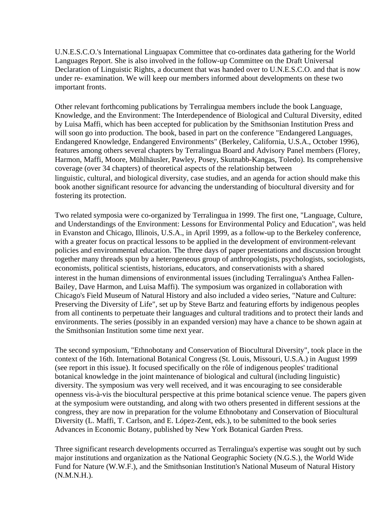U.N.E.S.C.O.'s International Linguapax Committee that co-ordinates data gathering for the World Languages Report. She is also involved in the follow-up Committee on the Draft Universal Declaration of Linguistic Rights, a document that was handed over to U.N.E.S.C.O. and that is now under re- examination. We will keep our members informed about developments on these two important fronts.

Other relevant forthcoming publications by Terralingua members include the book Language, Knowledge, and the Environment: The Interdependence of Biological and Cultural Diversity, edited by Luisa Maffi, which has been accepted for publication by the Smithsonian Institution Press and will soon go into production. The book, based in part on the conference "Endangered Languages, Endangered Knowledge, Endangered Environments" (Berkeley, California, U.S.A., October 1996), features among others several chapters by Terralingua Board and Advisory Panel members (Florey, Harmon, Maffi, Moore, Mühlhäusler, Pawley, Posey, Skutnabb-Kangas, Toledo). Its comprehensive coverage (over 34 chapters) of theoretical aspects of the relationship between linguistic, cultural, and biological diversity, case studies, and an agenda for action should make this book another significant resource for advancing the understanding of biocultural diversity and for fostering its protection.

Two related symposia were co-organized by Terralingua in 1999. The first one, "Language, Culture, and Understandings of the Environment: Lessons for Environmental Policy and Education", was held in Evanston and Chicago, Illinois, U.S.A., in April 1999, as a follow-up to the Berkeley conference, with a greater focus on practical lessons to be applied in the development of environment-relevant policies and environmental education. The three days of paper presentations and discussion brought together many threads spun by a heterogeneous group of anthropologists, psychologists, sociologists, economists, political scientists, historians, educators, and conservationists with a shared interest in the human dimensions of environmental issues (including Terralingua's Anthea Fallen-Bailey, Dave Harmon, and Luisa Maffi). The symposium was organized in collaboration with Chicago's Field Museum of Natural History and also included a video series, "Nature and Culture: Preserving the Diversity of Life", set up by Steve Bartz and featuring efforts by indigenous peoples from all continents to perpetuate their languages and cultural traditions and to protect their lands and environments. The series (possibly in an expanded version) may have a chance to be shown again at the Smithsonian Institution some time next year.

The second symposium, "Ethnobotany and Conservation of Biocultural Diversity", took place in the context of the 16th. International Botanical Congress (St. Louis, Missouri, U.S.A.) in August 1999 (see report in this issue). It focused specifically on the rôle of indigenous peoples' traditional botanical knowledge in the joint maintenance of biological and cultural (including linguistic) diversity. The symposium was very well received, and it was encouraging to see considerable openness vis-à-vis the biocultural perspective at this prime botanical science venue. The papers given at the symposium were outstanding, and along with two others presented in different sessions at the congress, they are now in preparation for the volume Ethnobotany and Conservation of Biocultural Diversity (L. Maffi, T. Carlson, and E. López-Zent, eds.), to be submitted to the book series Advances in Economic Botany, published by New York Botanical Garden Press.

Three significant research developments occurred as Terralingua's expertise was sought out by such major institutions and organization as the National Geographic Society (N.G.S.), the World Wide Fund for Nature (W.W.F.), and the Smithsonian Institution's National Museum of Natural History (N.M.N.H.).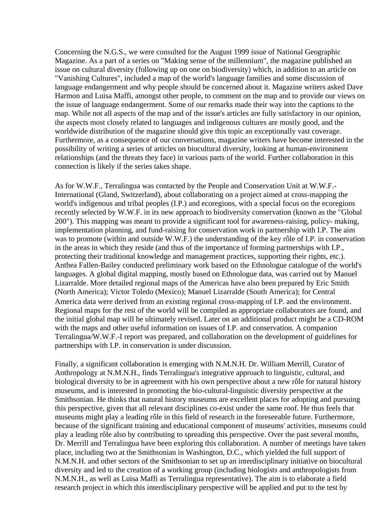Concerning the N.G.S., we were consulted for the August 1999 issue of National Geographic Magazine. As a part of a series on "Making sense of the millennium", the magazine published an issue on cultural diversity (following up on one on biodiversity) which, in addition to an article on "Vanishing Cultures", included a map of the world's language families and some discussion of language endangerment and why people should be concerned about it. Magazine writers asked Dave Harmon and Luisa Maffi, amongst other people, to comment on the map and to provide our views on the issue of language endangerment. Some of our remarks made their way into the captions to the map. While not all aspects of the map and of the issue's articles are fully satisfactory in our opinion, the aspects most closely related to languages and indigenous cultures are mostly good, and the worldwide distribution of the magazine should give this topic an exceptionally vast coverage. Furthermore, as a consequence of our conversations, magazine writers have become interested in the possibility of writing a series of articles on biocultural diversity, looking at human-environment relationships (and the threats they face) in various parts of the world. Further collaboration in this connection is likely if the series takes shape.

As for W.W.F., Terralingua was contacted by the People and Conservation Unit at W.W.F.- International (Gland, Switzerland), about collaborating on a project aimed at cross-mapping the world's indigenous and tribal peoples (I.P.) and ecoregions, with a special focus on the ecoregions recently selected by W.W.F. in its new approach to biodiversity conservation (known as the "Global 200"). This mapping was meant to provide a significant tool for awareness-raising, policy- making, implementation planning, and fund-raising for conservation work in partnership with I.P. The aim was to promote (within and outside W.W.F.) the understanding of the key rôle of I.P. in conservation in the areas in which they reside (and thus of the importance of forming partnerships with I.P., protecting their traditional knowledge and management practices, supporting their rights, etc.). Anthea Fallen-Bailey conducted preliminary work based on the Ethnologue catalogue of the world's languages. A global digital mapping, mostly based on Ethnologue data, was carried out by Manuel Lizarralde. More detailed regional maps of the Americas have also been prepared by Eric Smith (North America); Victor Toledo (Mexico); Manuel Lizarralde (South America); for Central America data were derived from an existing regional cross-mapping of I.P. and the environment. Regional maps for the rest of the world will be compiled as appropriate collaborators are found, and the initial global map will be ultimately revised. Later on an additional product might be a CD-ROM with the maps and other useful information on issues of I.P. and conservation. A companion Terralingua/W.W.F.-I report was prepared, and collaboration on the development of guidelines for partnerships with I.P. in conservation is under discussion.

Finally, a significant collaboration is emerging with N.M.N.H. Dr. William Merrill, Curator of Anthropology at N.M.N.H., finds Terralingua's integrative approach to linguistic, cultural, and biological diversity to be in agreement with his own perspective about a new rôle for natural history museums, and is interested in promoting the bio-cultural-linguistic diversity perspective at the Smithsonian. He thinks that natural history museums are excellent places for adopting and pursuing this perspective, given that all relevant disciplines co-exist under the same roof. He thus feels that museums might play a leading rôle in this field of research in the foreseeable future. Furthermore, because of the significant training and educational component of museums' activities, museums could play a leading rôle also by contributing to spreading this perspective. Over the past several months, Dr. Merrill and Terralingua have been exploring this collaboration. A number of meetings have taken place, including two at the Smithsonian in Washington, D.C., which yielded the full support of N.M.N.H. and other sectors of the Smithsonian to set up an interdisciplinary initiative on biocultural diversity and led to the creation of a working group (including biologists and anthropologists from N.M.N.H., as well as Luisa Maffi as Terralingua representative). The aim is to elaborate a field research project in which this interdisciplinary perspective will be applied and put to the test by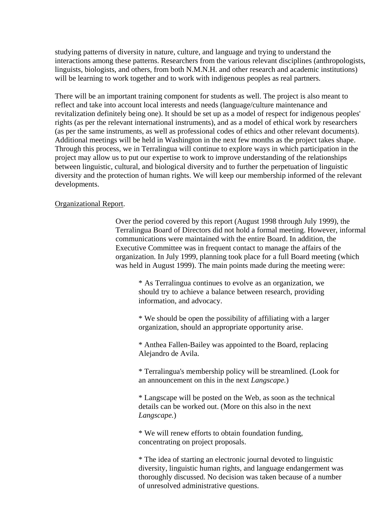studying patterns of diversity in nature, culture, and language and trying to understand the interactions among these patterns. Researchers from the various relevant disciplines (anthropologists, linguists, biologists, and others, from both N.M.N.H. and other research and academic institutions) will be learning to work together and to work with indigenous peoples as real partners.

There will be an important training component for students as well. The project is also meant to reflect and take into account local interests and needs (language/culture maintenance and revitalization definitely being one). It should be set up as a model of respect for indigenous peoples' rights (as per the relevant international instruments), and as a model of ethical work by researchers (as per the same instruments, as well as professional codes of ethics and other relevant documents). Additional meetings will be held in Washington in the next few months as the project takes shape. Through this process, we in Terralingua will continue to explore ways in which participation in the project may allow us to put our expertise to work to improve understanding of the relationships between linguistic, cultural, and biological diversity and to further the perpetuation of linguistic diversity and the protection of human rights. We will keep our membership informed of the relevant developments.

## Organizational Report.

Over the period covered by this report (August 1998 through July 1999), the Terralingua Board of Directors did not hold a formal meeting. However, informal communications were maintained with the entire Board. In addition, the Executive Committee was in frequent contact to manage the affairs of the organization. In July 1999, planning took place for a full Board meeting (which was held in August 1999). The main points made during the meeting were:

\* As Terralingua continues to evolve as an organization, we should try to achieve a balance between research, providing information, and advocacy.

\* We should be open the possibility of affiliating with a larger organization, should an appropriate opportunity arise.

\* Anthea Fallen-Bailey was appointed to the Board, replacing Alejandro de Avila.

\* Terralingua's membership policy will be streamlined. (Look for an announcement on this in the next *Langscape.*)

\* Langscape will be posted on the Web, as soon as the technical details can be worked out. (More on this also in the next *Langscape.*)

\* We will renew efforts to obtain foundation funding, concentrating on project proposals.

\* The idea of starting an electronic journal devoted to linguistic diversity, linguistic human rights, and language endangerment was thoroughly discussed. No decision was taken because of a number of unresolved administrative questions.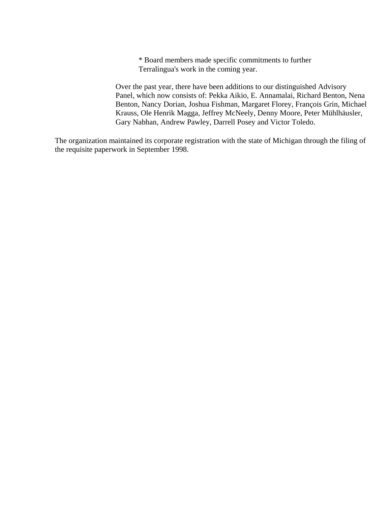\* Board members made specific commitments to further Terralingua's work in the coming year.

Over the past year, there have been additions to our distinguished Advisory Panel, which now consists of: Pekka Aikio, E. Annamalai, Richard Benton, Nena Benton, Nancy Dorian, Joshua Fishman, Margaret Florey, François Grin, Michael Krauss, Ole Henrik Magga, Jeffrey McNeely, Denny Moore, Peter Mühlhäusler, Gary Nabhan, Andrew Pawley, Darrell Posey and Victor Toledo.

The organization maintained its corporate registration with the state of Michigan through the filing of the requisite paperwork in September 1998.